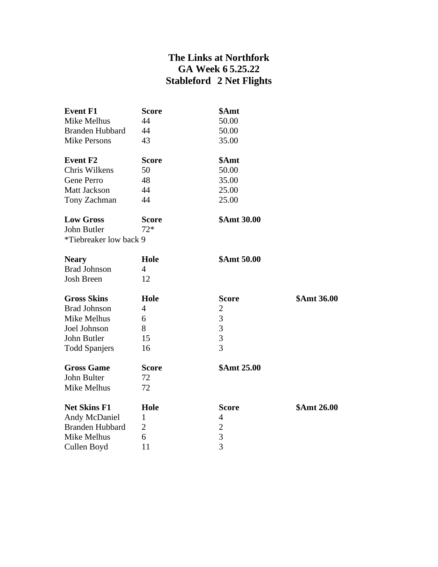## **The Links at Northfork GA Week 6 5.25.22 Stableford 2 Net Flights**

| <b>Event F1</b>        | <b>Score</b>   | \$Amt          |             |
|------------------------|----------------|----------------|-------------|
| Mike Melhus            | 44             | 50.00          |             |
| <b>Branden Hubbard</b> | 44             | 50.00          |             |
| <b>Mike Persons</b>    | 43             | 35.00          |             |
| <b>Event F2</b>        | <b>Score</b>   | \$Amt          |             |
| Chris Wilkens          | 50             | 50.00          |             |
| Gene Perro             | 48             | 35.00          |             |
| <b>Matt Jackson</b>    | 44             | 25.00          |             |
| Tony Zachman           | 44             | 25.00          |             |
| <b>Low Gross</b>       | <b>Score</b>   | \$Amt 30.00    |             |
| John Butler            | $72*$          |                |             |
| *Tiebreaker low back 9 |                |                |             |
| <b>Neary</b>           | Hole           | \$Amt 50.00    |             |
| <b>Brad Johnson</b>    | $\overline{4}$ |                |             |
| <b>Josh Breen</b>      | 12             |                |             |
| <b>Gross Skins</b>     | Hole           | <b>Score</b>   | \$Amt 36.00 |
| <b>Brad Johnson</b>    | $\overline{4}$ | $\overline{2}$ |             |
| Mike Melhus            | 6              | 3              |             |
| Joel Johnson           | 8              | $\overline{3}$ |             |
| John Butler            | 15             | $\overline{3}$ |             |
| <b>Todd Spanjers</b>   | 16             | $\overline{3}$ |             |
| <b>Gross Game</b>      | <b>Score</b>   | \$Amt 25.00    |             |
| John Bulter            | 72             |                |             |
| Mike Melhus            | 72             |                |             |
| <b>Net Skins F1</b>    | Hole           | <b>Score</b>   | \$Amt 26.00 |
| Andy McDaniel          | $\mathbf{1}$   | 4              |             |
| Branden Hubbard        | 2              | $\overline{c}$ |             |
| Mike Melhus            | 6              | 3              |             |
| Cullen Boyd            | 11             | $\overline{3}$ |             |